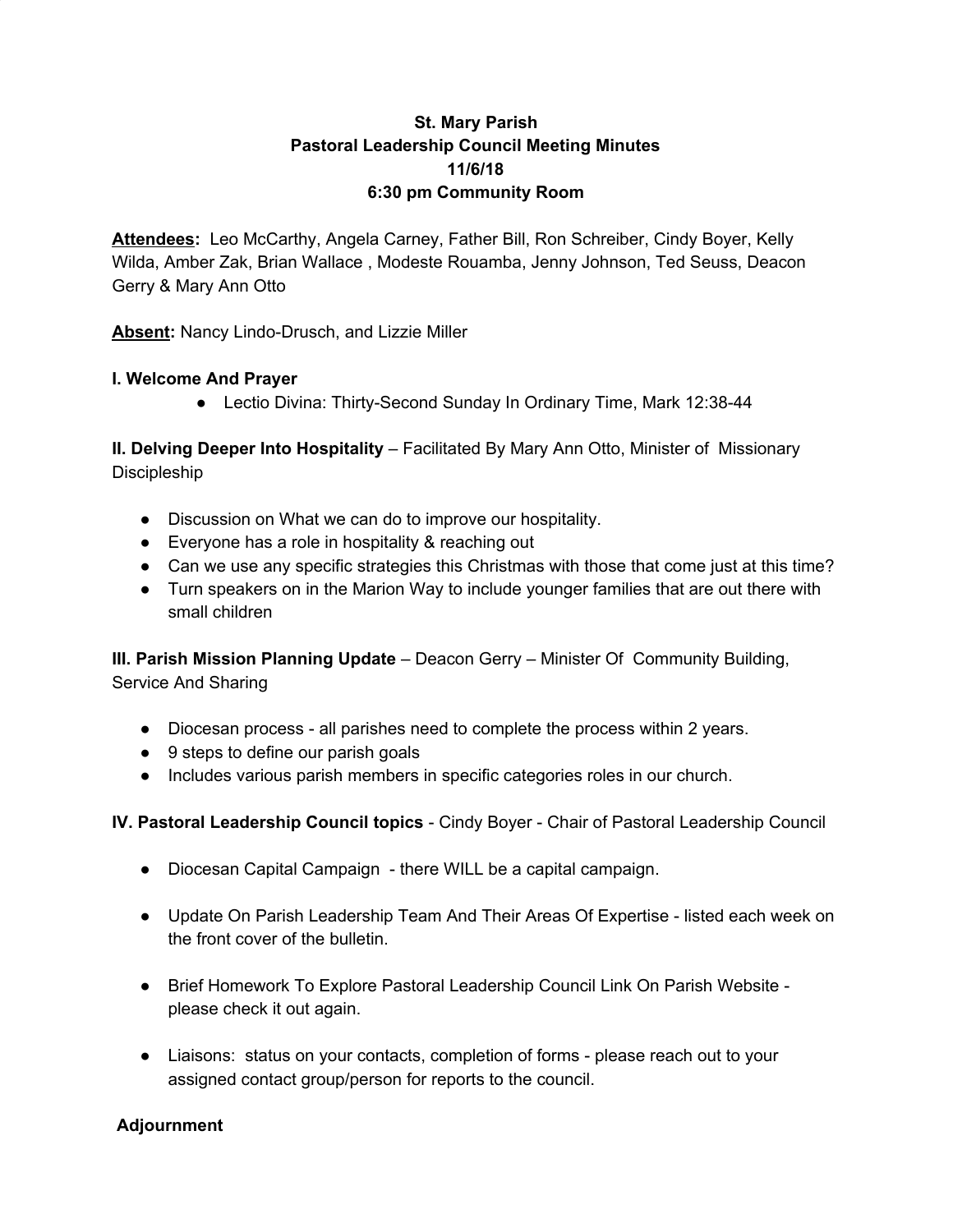## **St. Mary Parish Pastoral Leadership Council Meeting Minutes 11/6/18 6:30 pm Community Room**

Attendees: Leo McCarthy, Angela Carney, Father Bill, Ron Schreiber, Cindy Boyer, Kelly Wilda, Amber Zak, Brian Wallace , Modeste Rouamba, Jenny Johnson, Ted Seuss, Deacon Gerry & Mary Ann Otto

**Absent:** Nancy Lindo-Drusch, and Lizzie Miller

### **I. Welcome And Prayer**

● Lectio Divina: Thirty-Second Sunday In Ordinary Time, Mark 12:38-44

**II. Delving Deeper Into Hospitality** – Facilitated By Mary Ann Otto, Minister of Missionary Discipleship

- Discussion on What we can do to improve our hospitality.
- Everyone has a role in hospitality & reaching out
- Can we use any specific strategies this Christmas with those that come just at this time?
- Turn speakers on in the Marion Way to include younger families that are out there with small children

**III. Parish Mission Planning Update** – Deacon Gerry – Minister Of Community Building, Service And Sharing

- Diocesan process all parishes need to complete the process within 2 years.
- 9 steps to define our parish goals
- Includes various parish members in specific categories roles in our church.

**IV. Pastoral Leadership Council topics** - Cindy Boyer - Chair of Pastoral Leadership Council

- Diocesan Capital Campaign there WILL be a capital campaign.
- Update On Parish Leadership Team And Their Areas Of Expertise listed each week on the front cover of the bulletin.
- Brief Homework To Explore Pastoral Leadership Council Link On Parish Website please check it out again.
- Liaisons: status on your contacts, completion of forms please reach out to your assigned contact group/person for reports to the council.

#### **Adjournment**